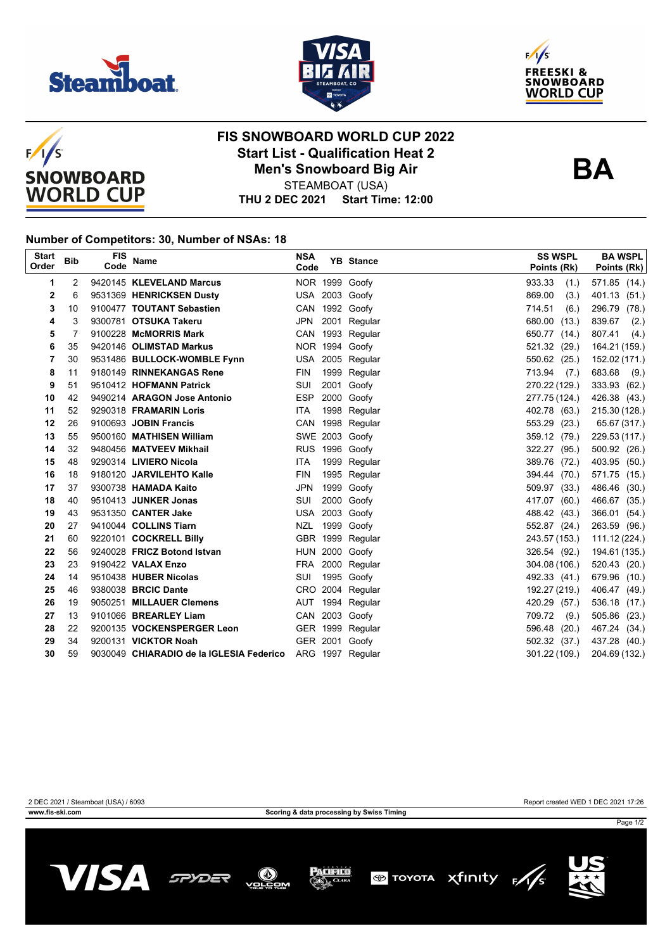







## **FIS SNOWBOARD WORLD CUP 2022 Start List - Qualification Heat 2 Men's Snowboard Big Air**



STEAMBOAT (USA)

**THU 2 DEC 2021 Start Time: 12:00**

#### **Number of Competitors: 30, Number of NSAs: 18**

| <b>Start</b><br>Order | <b>Bib</b> | FIS<br>Code | <b>Name</b>                                               | <b>NSA</b><br>Code |      | <b>YB</b> Stance | <b>SS WSPL</b><br>Points (Rk) | <b>BA WSPL</b><br>Points (Rk) |
|-----------------------|------------|-------------|-----------------------------------------------------------|--------------------|------|------------------|-------------------------------|-------------------------------|
| 1                     | 2          |             | 9420145 KLEVELAND Marcus                                  |                    |      | NOR 1999 Goofy   | 933.33<br>(1.)                | 571.85 (14.)                  |
| $\overline{2}$        | 6          |             | 9531369 HENRICKSEN Dusty                                  |                    |      | USA 2003 Goofy   | 869.00<br>(3.)                | 401.13 (51.)                  |
| 3                     | 10         |             | 9100477 TOUTANT Sebastien                                 |                    |      | CAN 1992 Goofy   | 714.51<br>(6.)                | 296.79 (78.)                  |
| 4                     | 3          |             | 9300781 OTSUKA Takeru                                     | JPN                | 2001 | Regular          | 680.00<br>(13.)               | 839.67<br>(2.)                |
| 5                     | 7          |             | 9100228 McMORRIS Mark                                     |                    |      | CAN 1993 Regular | 650.77 (14.)                  | 807.41<br>(4.)                |
| 6                     | 35         |             | 9420146 OLIMSTAD Markus                                   |                    |      | NOR 1994 Goofy   | 521.32 (29.)                  | 164.21 (159.)                 |
| 7                     | 30         |             | 9531486 BULLOCK-WOMBLE Fynn                               |                    |      | USA 2005 Regular | 550.62 (25.)                  | 152.02 (171.)                 |
| 8                     | 11         |             | 9180149 RINNEKANGAS Rene                                  | FIN                |      | 1999 Regular     | 713.94<br>(7.)                | 683.68 (9.)                   |
| 9                     | 51         |             | 9510412 HOFMANN Patrick                                   | SUI                | 2001 | Goofy            | 270.22 (129.)                 | 333.93 (62.)                  |
| 10                    | 42         |             | 9490214 ARAGON Jose Antonio                               | <b>ESP</b>         | 2000 | Goofy            | 277.75 (124.)                 | 426.38 (43.)                  |
| 11                    | 52         |             | 9290318 FRAMARIN Loris                                    | <b>ITA</b>         |      | 1998 Regular     | 402.78 (63.)                  | 215.30 (128.)                 |
| 12                    | 26         |             | 9100693 JOBIN Francis                                     |                    |      | CAN 1998 Regular | 553.29 (23.)                  | 65.67 (317.)                  |
| 13                    | 55         |             | 9500160 MATHISEN William                                  |                    |      | SWE 2003 Goofy   | 359.12 (79.)                  | 229.53 (117.)                 |
| 14                    | 32         |             | 9480456 MATVEEV Mikhail                                   |                    |      | RUS 1996 Goofy   | 322.27 (95.)                  | 500.92 (26.)                  |
| 15                    | 48         |             | 9290314 LIVIERO Nicola                                    | ITA.               | 1999 | Regular          | 389.76 (72.)                  | 403.95 (50.)                  |
| 16                    | 18         |             | 9180120 JARVILEHTO Kalle                                  | <b>FIN</b>         |      | 1995 Regular     | 394.44 (70.)                  | 571.75 (15.)                  |
| 17                    | 37         |             | 9300738 HAMADA Kaito                                      | <b>JPN</b>         |      | 1999 Goofy       | 509.97 (33.)                  | 486.46 (30.)                  |
| 18                    | 40         |             | 9510413 JUNKER Jonas                                      | SUI                |      | 2000 Goofy       | 417.07 (60.)                  | 466.67 (35.)                  |
| 19                    | 43         |             | 9531350 CANTER Jake                                       |                    |      | USA 2003 Goofy   | 488.42 (43.)                  | 366.01 (54.)                  |
| 20                    | 27         |             | 9410044 COLLINS Tiarn                                     | <b>NZL</b>         |      | 1999 Goofy       | 552.87 (24.)                  | 263.59 (96.)                  |
| 21                    | 60         |             | 9220101 COCKRELL Billy                                    |                    |      | GBR 1999 Regular | 243.57 (153.)                 | 111.12 (224.)                 |
| 22                    | 56         |             | 9240028 FRICZ Botond Istvan                               |                    |      | HUN 2000 Goofy   | 326.54 (92.)                  | 194.61 (135.)                 |
| 23                    | 23         |             | 9190422 VALAX Enzo                                        |                    |      | FRA 2000 Regular | 304.08 (106.)                 | 520.43 (20.)                  |
| 24                    | 14         |             | 9510438 HUBER Nicolas                                     | SUI                |      | 1995 Goofy       | 492.33 (41.)                  | 679.96 (10.)                  |
| 25                    | 46         |             | 9380038 BRCIC Dante                                       |                    |      | CRO 2004 Regular | 192.27 (219.)                 | 406.47 (49.)                  |
| 26                    | 19         |             | 9050251 MILLAUER Clemens                                  |                    |      | AUT 1994 Regular | 420.29 (57.)                  | 536.18 (17.)                  |
| 27                    | 13         |             | 9101066 BREARLEY Liam                                     |                    |      | CAN 2003 Goofy   | 709.72<br>(9.)                | 505.86 (23.)                  |
| 28                    | 22         |             | 9200135 VOCKENSPERGER Leon                                |                    |      | GER 1999 Regular | 596.48 (20.)                  | 467.24 (34.)                  |
| 29                    | 34         |             | 9200131 VICKTOR Noah                                      |                    |      | GER 2001 Goofy   | 502.32 (37.)                  | 437.28 (40.)                  |
| 30                    | 59         |             | 9030049 CHIARADIO de la IGLESIA Federico ARG 1997 Regular |                    |      |                  | 301.22 (109.)                 | 204.69 (132.)                 |

**www.fis-ski.com Scoring & data processing by Swiss Timing**

2 DEC 2021 / Steamboat (USA) / 6093 Report created WED 1 DEC 2021 17:26





Page 1/2